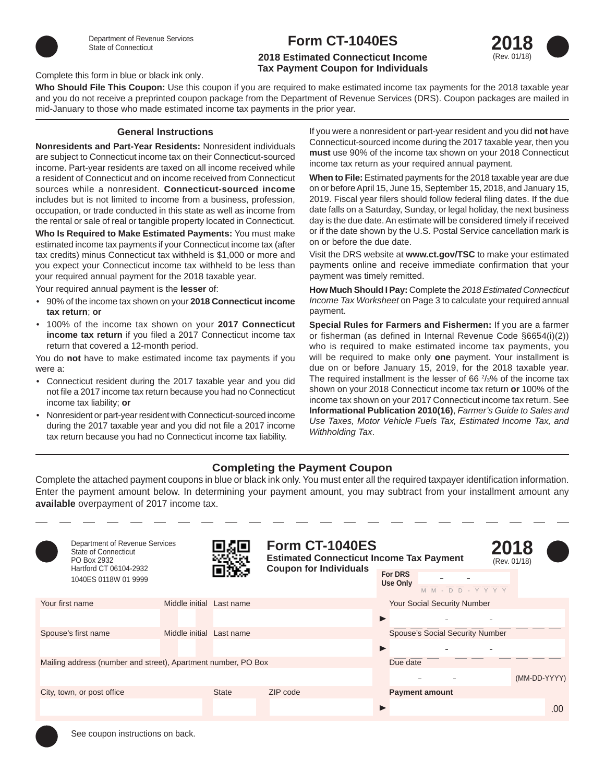

# **Form CT-1040ES**

## **2018 Estimated Connecticut Income Tax Payment Coupon for Individuals**



#### Complete this form in blue or black ink only.

**Who Should File This Coupon:** Use this coupon if you are required to make estimated income tax payments for the 2018 taxable year and you do not receive a preprinted coupon package from the Department of Revenue Services (DRS). Coupon packages are mailed in mid-January to those who made estimated income tax payments in the prior year.

#### **General Instructions**

**Nonresidents and Part-Year Residents:** Nonresident individuals are subject to Connecticut income tax on their Connecticut-sourced income. Part-year residents are taxed on all income received while a resident of Connecticut and on income received from Connecticut sources while a nonresident. **Connecticut-sourced income**  includes but is not limited to income from a business, profession, occupation, or trade conducted in this state as well as income from the rental or sale of real or tangible property located in Connecticut.

**Who Is Required to Make Estimated Payments:** You must make estimated income tax payments if your Connecticut income tax (after tax credits) minus Connecticut tax withheld is \$1,000 or more and you expect your Connecticut income tax withheld to be less than your required annual payment for the 2018 taxable year.

Your required annual payment is the **lesser** of:

- 90% of the income tax shown on your **2018 Connecticut income tax return**; **or**
- 100% of the income tax shown on your **2017 Connecticut income tax return** if you filed a 2017 Connecticut income tax return that covered a 12-month period.

You do **not** have to make estimated income tax payments if you were a:

- Connecticut resident during the 2017 taxable year and you did not file a 2017 income tax return because you had no Connecticut income tax liability; **or**
- Nonresident or part-year resident with Connecticut-sourced income during the 2017 taxable year and you did not file a 2017 income tax return because you had no Connecticut income tax liability.

If you were a nonresident or part-year resident and you did **not** have Connecticut-sourced income during the 2017 taxable year, then you **must** use 90% of the income tax shown on your 2018 Connecticut income tax return as your required annual payment.

**When to File:** Estimated payments for the 2018 taxable year are due on or before April 15, June 15, September 15, 2018, and January 15, 2019. Fiscal year filers should follow federal filing dates. If the due date falls on a Saturday, Sunday, or legal holiday, the next business day is the due date. An estimate will be considered timely if received or if the date shown by the U.S. Postal Service cancellation mark is on or before the due date.

Visit the DRS website at **www.ct.gov/TSC** to make your estimated payments online and receive immediate confirmation that your payment was timely remitted.

**How Much Should I Pay:** Complete the *2018 Estimated Connecticut Income Tax Worksheet* on Page 3 to calculate your required annual payment.

**Special Rules for Farmers and Fishermen:** If you are a farmer or fisherman (as defined in Internal Revenue Code §6654(i)(2)) who is required to make estimated income tax payments, you will be required to make only **one** payment. Your installment is due on or before January 15, 2019, for the 2018 taxable year. The required installment is the lesser of 66  $\frac{2}{3}$ % of the income tax shown on your 2018 Connecticut income tax return **or** 100% of the income tax shown on your 2017 Connecticut income tax return. See **Informational Publication 2010(16)**, *Farmer's Guide to Sales and Use Taxes, Motor Vehicle Fuels Tax, Estimated Income Tax, and Withholding Tax*.

## **Completing the Payment Coupon**

Complete the attached payment coupons in blue or black ink only. You must enter all the required taxpayer identification information. Enter the payment amount below. In determining your payment amount, you may subtract from your installment amount any **available** overpayment of 2017 income tax.

| Department of Revenue Services<br><b>State of Connecticut</b><br>PO Box 2932<br>Hartford CT 06104-2932 |                          |              | Form CT-1040ES<br><b>Estimated Connecticut Income Tax Payment</b> |                                   |                                                                                                                             | 2018 | (Rev. 01/18) |
|--------------------------------------------------------------------------------------------------------|--------------------------|--------------|-------------------------------------------------------------------|-----------------------------------|-----------------------------------------------------------------------------------------------------------------------------|------|--------------|
| 1040ES 0118W 01 9999                                                                                   |                          |              | <b>Coupon for Individuals</b>                                     | <b>For DRS</b><br><b>Use Only</b> | $\overline{M}$ $\overline{M}$ - $\overline{D}$ $\overline{D}$ - $\overline{Y}$ $\overline{Y}$ $\overline{Y}$ $\overline{Y}$ |      |              |
| Your first name                                                                                        | Middle initial Last name |              |                                                                   |                                   | Your Social Security Number                                                                                                 |      |              |
|                                                                                                        |                          |              |                                                                   |                                   |                                                                                                                             |      |              |
| Spouse's first name                                                                                    | Middle initial Last name |              |                                                                   |                                   | Spouse's Social Security Number                                                                                             |      |              |
|                                                                                                        |                          |              |                                                                   | ь                                 |                                                                                                                             |      |              |
| Mailing address (number and street), Apartment number, PO Box                                          |                          |              |                                                                   | Due date                          |                                                                                                                             |      |              |
|                                                                                                        |                          |              |                                                                   |                                   |                                                                                                                             |      | (MM-DD-YYYY) |
| City, town, or post office                                                                             |                          | <b>State</b> | ZIP code                                                          |                                   | <b>Payment amount</b>                                                                                                       |      |              |
|                                                                                                        |                          |              |                                                                   |                                   |                                                                                                                             |      | .00.         |

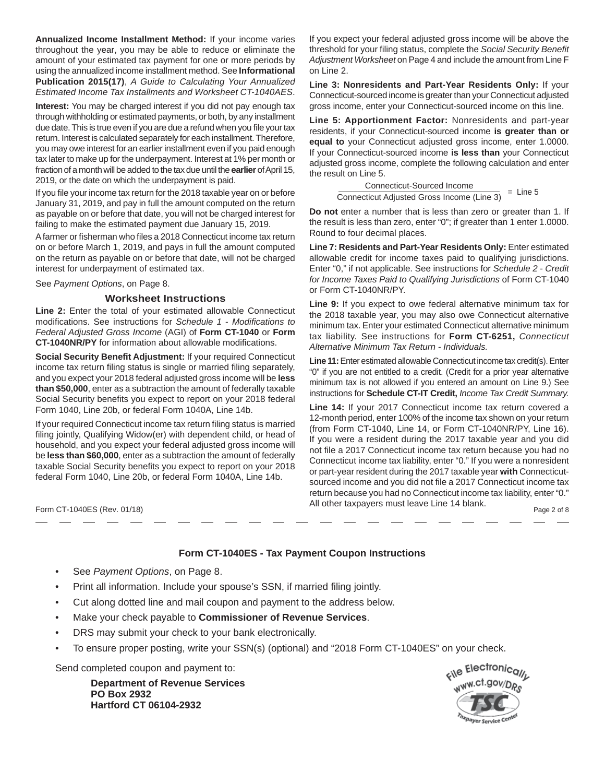**Annualized Income Installment Method:** If your income varies throughout the year, you may be able to reduce or eliminate the amount of your estimated tax payment for one or more periods by using the annualized income installment method. See **Informational Publication 2015(17)**, *A Guide to Calculating Your Annualized Estimated Income Tax Installments and Worksheet CT-1040AES*.

**Interest:** You may be charged interest if you did not pay enough tax through withholding or estimated payments, or both, by any installment due date. This is true even if you are due a refund when you file your tax return. Interest is calculated separately for each installment. Therefore, you may owe interest for an earlier installment even if you paid enough tax later to make up for the underpayment. Interest at 1% per month or fraction of a month will be added to the tax due until the **earlier** of April 15, 2019, or the date on which the underpayment is paid.

If you file your income tax return for the 2018 taxable year on or before January 31, 2019, and pay in full the amount computed on the return as payable on or before that date, you will not be charged interest for failing to make the estimated payment due January 15, 2019.

A farmer or fisherman who files a 2018 Connecticut income tax return on or before March 1, 2019, and pays in full the amount computed on the return as payable on or before that date, will not be charged interest for underpayment of estimated tax.

See *Payment Options*, on Page 8.

### **Worksheet Instructions**

**Line 2:** Enter the total of your estimated allowable Connecticut modifications. See instructions for *Schedule 1 - Modifications to Federal Adjusted Gross Income* (AGI) of **Form CT-1040** or **Form CT-1040NR/PY** for information about allowable modifications.

**Social Security Benefit Adjustment: If your required Connecticut** income tax return filing status is single or married filing separately, and you expect your 2018 federal adjusted gross income will be **less than \$50,000**, enter as a subtraction the amount of federally taxable Social Security benefits you expect to report on your 2018 federal Form 1040, Line 20b, or federal Form 1040A, Line 14b.

If your required Connecticut income tax return filing status is married filing jointly, Qualifying Widow(er) with dependent child, or head of household, and you expect your federal adjusted gross income will be **less than \$60,000**, enter as a subtraction the amount of federally taxable Social Security benefits you expect to report on your 2018 federal Form 1040, Line 20b, or federal Form 1040A, Line 14b.

If you expect your federal adjusted gross income will be above the threshold for your filing status, complete the *Social Security Benefit Adjustment Worksheet* on Page 4 and include the amount from Line F on Line 2.

**Line 3: Nonresidents and Part-Year Residents Only:** If your Connecticut-sourced income is greater than your Connecticut adjusted gross income, enter your Connecticut-sourced income on this line.

**Line 5: Apportionment Factor:** Nonresidents and part-year residents, if your Connecticut-sourced income **is greater than or equal to** your Connecticut adjusted gross income, enter 1.0000. If your Connecticut-sourced income **is less than** your Connecticut adjusted gross income, complete the following calculation and enter the result on Line 5.

> $=$  Line 5 Connecticut-Sourced Income Connecticut Adjusted Gross Income (Line 3)

**Do not** enter a number that is less than zero or greater than 1. If the result is less than zero, enter "0"; if greater than 1 enter 1.0000. Round to four decimal places.

**Line 7: Residents and Part-Year Residents Only:** Enter estimated allowable credit for income taxes paid to qualifying jurisdictions. Enter "0," if not applicable. See instructions for *Schedule 2* - *Credit for Income Taxes Paid to Qualifying Jurisdictions* of Form CT-1040 or Form CT-1040NR/PY.

**Line 9:** If you expect to owe federal alternative minimum tax for the 2018 taxable year, you may also owe Connecticut alternative minimum tax. Enter your estimated Connecticut alternative minimum tax liability. See instructions for **Form CT-6251,** *Connecticut Alternative Minimum Tax Return - Individuals.*

**Line 11:** Enter estimated allowable Connecticut income tax credit(s). Enter "0" if you are not entitled to a credit. (Credit for a prior year alternative minimum tax is not allowed if you entered an amount on Line 9.) See instructions for **Schedule CT-IT Credit,** *Income Tax Credit Summary.*

**Line 14:** If your 2017 Connecticut income tax return covered a 12-month period, enter 100% of the income tax shown on your return (from Form CT-1040, Line 14, or Form CT-1040NR/PY, Line 16). If you were a resident during the 2017 taxable year and you did not file a 2017 Connecticut income tax return because you had no Connecticut income tax liability, enter "0." If you were a nonresident or part-year resident during the 2017 taxable year **with** Connecticutsourced income and you did not file a 2017 Connecticut income tax return because you had no Connecticut income tax liability, enter "0." All other taxpayers must leave Line 14 blank. Form CT-1040ES (Rev. 01/18) Page 2 of 8

## **Form CT-1040ES - Tax Payment Coupon Instructions**

- See *Payment Options*, on Page 8.
- Print all information. Include your spouse's SSN, if married filing jointly.
- Cut along dotted line and mail coupon and payment to the address below.
- Make your check payable to **Commissioner of Revenue Services**.
- DRS may submit your check to your bank electronically.
- To ensure proper posting, write your SSN(s) (optional) and "2018 Form CT-1040ES" on your check.

Send completed coupon and payment to:

 **Department of Revenue Services PO Box 2932 Hartford CT 06104-2932**

cile Electronicall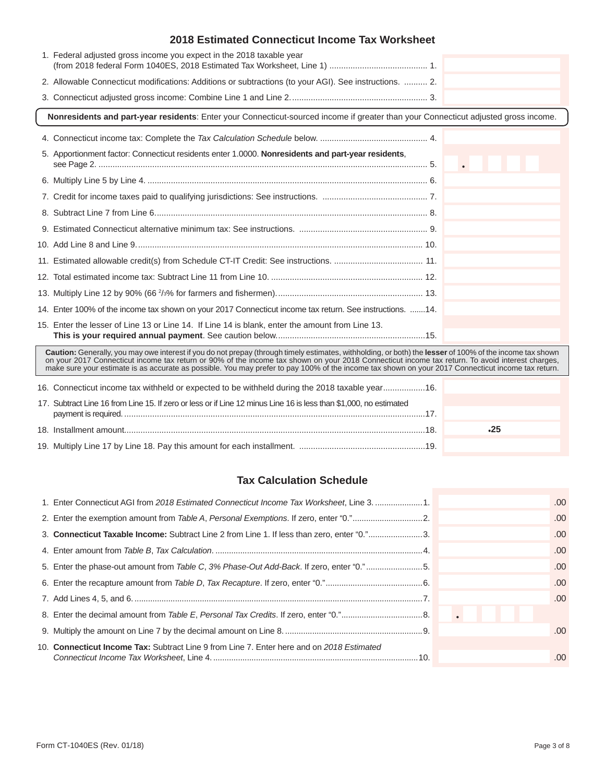| 1. Federal adjusted gross income you expect in the 2018 taxable year                                                                                                                                                                                                                                                                                                                                                                                                |     |
|---------------------------------------------------------------------------------------------------------------------------------------------------------------------------------------------------------------------------------------------------------------------------------------------------------------------------------------------------------------------------------------------------------------------------------------------------------------------|-----|
| 2. Allowable Connecticut modifications: Additions or subtractions (to your AGI). See instructions.  2.                                                                                                                                                                                                                                                                                                                                                              |     |
|                                                                                                                                                                                                                                                                                                                                                                                                                                                                     |     |
| Nonresidents and part-year residents: Enter your Connecticut-sourced income if greater than your Connecticut adjusted gross income.                                                                                                                                                                                                                                                                                                                                 |     |
|                                                                                                                                                                                                                                                                                                                                                                                                                                                                     |     |
| 5. Apportionment factor: Connecticut residents enter 1.0000. Nonresidents and part-year residents,                                                                                                                                                                                                                                                                                                                                                                  |     |
|                                                                                                                                                                                                                                                                                                                                                                                                                                                                     |     |
|                                                                                                                                                                                                                                                                                                                                                                                                                                                                     |     |
|                                                                                                                                                                                                                                                                                                                                                                                                                                                                     |     |
|                                                                                                                                                                                                                                                                                                                                                                                                                                                                     |     |
|                                                                                                                                                                                                                                                                                                                                                                                                                                                                     |     |
|                                                                                                                                                                                                                                                                                                                                                                                                                                                                     |     |
|                                                                                                                                                                                                                                                                                                                                                                                                                                                                     |     |
|                                                                                                                                                                                                                                                                                                                                                                                                                                                                     |     |
| 14. Enter 100% of the income tax shown on your 2017 Connecticut income tax return. See instructions. 14.                                                                                                                                                                                                                                                                                                                                                            |     |
| 15. Enter the lesser of Line 13 or Line 14. If Line 14 is blank, enter the amount from Line 13.                                                                                                                                                                                                                                                                                                                                                                     |     |
| Caution: Generally, you may owe interest if you do not prepay (through timely estimates, withholding, or both) the lesser of 100% of the income tax shown<br>on your 2017 Connecticut income tax return or 90% of the income tax shown on your 2018 Connecticut income tax return. To avoid interest charges,<br>make sure your estimate is as accurate as possible. You may prefer to pay 100% of the income tax shown on your 2017 Connecticut income tax return. |     |
| 16. Connecticut income tax withheld or expected to be withheld during the 2018 taxable year16.                                                                                                                                                                                                                                                                                                                                                                      |     |
| 17. Subtract Line 16 from Line 15. If zero or less or if Line 12 minus Line 16 is less than \$1,000, no estimated                                                                                                                                                                                                                                                                                                                                                   |     |
|                                                                                                                                                                                                                                                                                                                                                                                                                                                                     | .25 |

19. Multiply Line 17 by Line 18. Pay this amount for each installment. ......................................................19.

## **Tax Calculation Schedule**

| 1. Enter Connecticut AGI from 2018 Estimated Connecticut Income Tax Worksheet, Line 3. 1.   | .00  |
|---------------------------------------------------------------------------------------------|------|
|                                                                                             | .00  |
| 3. Connecticut Taxable Income: Subtract Line 2 from Line 1. If less than zero, enter "0."3. | .00. |
|                                                                                             | .00  |
| 5. Enter the phase-out amount from Table C, 3% Phase-Out Add-Back. If zero, enter "0."5.    | .00  |
|                                                                                             | .00. |
|                                                                                             | .00  |
|                                                                                             |      |
|                                                                                             | .00  |
| 10. Connecticut Income Tax: Subtract Line 9 from Line 7. Enter here and on 2018 Estimated   | .00  |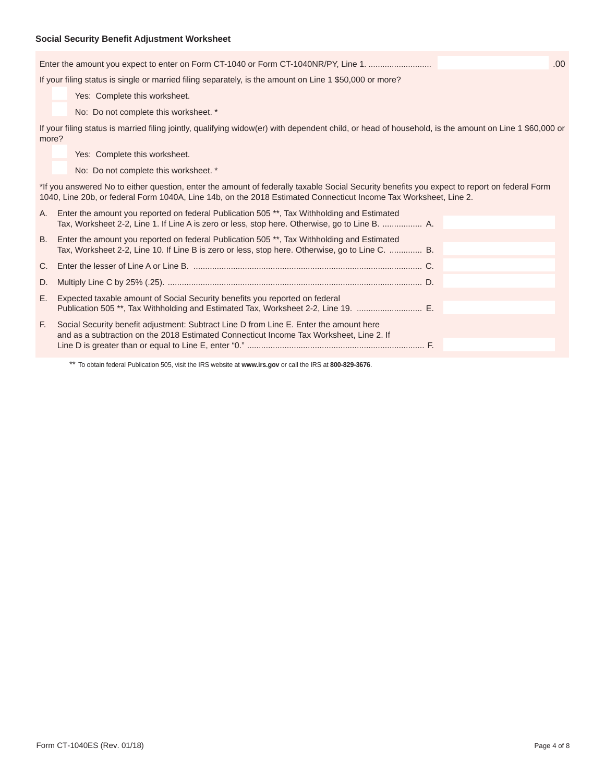## **Social Security Benefit Adjustment Worksheet**

|       | Enter the amount you expect to enter on Form CT-1040 or Form CT-1040NR/PY, Line 1.                                                                                                                                                                              | .00 |
|-------|-----------------------------------------------------------------------------------------------------------------------------------------------------------------------------------------------------------------------------------------------------------------|-----|
|       | If your filing status is single or married filing separately, is the amount on Line 1 \$50,000 or more?                                                                                                                                                         |     |
|       | Yes: Complete this worksheet.                                                                                                                                                                                                                                   |     |
|       | No: Do not complete this worksheet. *                                                                                                                                                                                                                           |     |
| more? | If your filing status is married filing jointly, qualifying widow(er) with dependent child, or head of household, is the amount on Line 1 \$60,000 or                                                                                                           |     |
|       | Yes: Complete this worksheet.                                                                                                                                                                                                                                   |     |
|       | No: Do not complete this worksheet. *                                                                                                                                                                                                                           |     |
|       | *If you answered No to either question, enter the amount of federally taxable Social Security benefits you expect to report on federal Form<br>1040, Line 20b, or federal Form 1040A, Line 14b, on the 2018 Estimated Connecticut Income Tax Worksheet, Line 2. |     |
| А.    | Enter the amount you reported on federal Publication 505 **, Tax Withholding and Estimated<br>Tax, Worksheet 2-2, Line 1. If Line A is zero or less, stop here. Otherwise, go to Line B.  A.                                                                    |     |
| B.    | Enter the amount you reported on federal Publication 505 **, Tax Withholding and Estimated<br>Tax, Worksheet 2-2, Line 10. If Line B is zero or less, stop here. Otherwise, go to Line C.  B.                                                                   |     |
| C.    |                                                                                                                                                                                                                                                                 |     |
| D.    |                                                                                                                                                                                                                                                                 |     |
| Е.    | Expected taxable amount of Social Security benefits you reported on federal<br>Publication 505**, Tax Withholding and Estimated Tax, Worksheet 2-2, Line 19.                                                                                                    |     |
| F.    | Social Security benefit adjustment: Subtract Line D from Line E. Enter the amount here<br>and as a subtraction on the 2018 Estimated Connecticut Income Tax Worksheet, Line 2. If                                                                               |     |

\*\* To obtain federal Publication 505, visit the IRS website at **www.irs.gov** or call the IRS at **800-829-3676**.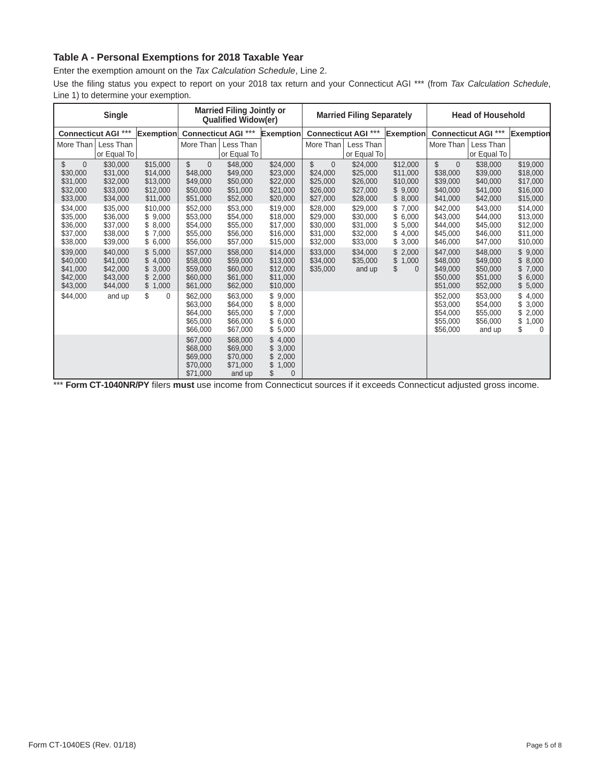## **Table A - Personal Exemptions for 2018 Taxable Year**

Enter the exemption amount on the *Tax Calculation Schedule*, Line 2.

Use the filing status you expect to report on your 2018 tax return and your Connecticut AGI \*\*\* (from *Tax Calculation Schedule*, Line 1) to determine your exemption.

| <b>Married Filing Jointly or</b><br><b>Single</b><br><b>Qualified Widow(er)</b> |                                                          |                                                             |                                                                      |                                                          | <b>Married Filing Separately</b>                         |                                                                |                                                          | <b>Head of Household</b>                                                |                                                                |                                                          |                                                                |
|---------------------------------------------------------------------------------|----------------------------------------------------------|-------------------------------------------------------------|----------------------------------------------------------------------|----------------------------------------------------------|----------------------------------------------------------|----------------------------------------------------------------|----------------------------------------------------------|-------------------------------------------------------------------------|----------------------------------------------------------------|----------------------------------------------------------|----------------------------------------------------------------|
|                                                                                 | <b>Connecticut AGI ***</b>                               | Exemption Connecticut AGI ***                               |                                                                      |                                                          | <b>Exemption</b>                                         |                                                                | <b>Connecticut AGI ***</b>                               | <b>Exemption</b>                                                        |                                                                | <b>Connecticut AGI ***</b>                               | <b>Exemption</b>                                               |
| More Than                                                                       | Less Than                                                |                                                             | More Than                                                            | Less Than                                                |                                                          | More Than                                                      | Less Than                                                |                                                                         | More Than                                                      | Less Than                                                |                                                                |
|                                                                                 | or Equal To                                              |                                                             |                                                                      | or Equal To                                              |                                                          |                                                                | or Equal To                                              |                                                                         |                                                                | or Equal To                                              |                                                                |
| \$<br>$\Omega$<br>\$30,000<br>\$31,000<br>\$32,000<br>\$33,000                  | \$30,000<br>\$31,000<br>\$32,000<br>\$33,000<br>\$34,000 | \$15,000<br>\$14,000<br>\$13,000<br>\$12,000<br>\$11,000    | \$<br>$\overline{0}$<br>\$48,000<br>\$49,000<br>\$50,000<br>\$51,000 | \$48,000<br>\$49,000<br>\$50,000<br>\$51,000<br>\$52,000 | \$24,000<br>\$23,000<br>\$22,000<br>\$21,000<br>\$20,000 | \$<br>$\Omega$<br>\$24,000<br>\$25,000<br>\$26,000<br>\$27,000 | \$24,000<br>\$25,000<br>\$26,000<br>\$27,000<br>\$28,000 | \$12,000<br>\$11,000<br>\$10,000<br>9,000<br>\$<br>8,000<br>\$          | \$<br>$\Omega$<br>\$38,000<br>\$39,000<br>\$40,000<br>\$41,000 | \$38,000<br>\$39,000<br>\$40,000<br>\$41,000<br>\$42,000 | \$19,000<br>\$18,000<br>\$17,000<br>\$16,000<br>\$15,000       |
| \$34,000<br>\$35,000<br>\$36,000<br>\$37,000<br>\$38,000                        | \$35,000<br>\$36,000<br>\$37,000<br>\$38,000<br>\$39,000 | \$10,000<br>\$9,000<br>\$8,000<br>\$<br>7,000<br>\$6,000    | \$52,000<br>\$53,000<br>\$54,000<br>\$55,000<br>\$56,000             | \$53,000<br>\$54,000<br>\$55,000<br>\$56,000<br>\$57,000 | \$19,000<br>\$18,000<br>\$17,000<br>\$16,000<br>\$15,000 | \$28,000<br>\$29,000<br>\$30,000<br>\$31,000<br>\$32,000       | \$29,000<br>\$30,000<br>\$31,000<br>\$32,000<br>\$33,000 | \$<br>7,000<br>6,000<br>\$<br>\$<br>5,000<br>4,000<br>\$<br>\$<br>3,000 | \$42,000<br>\$43,000<br>\$44,000<br>\$45,000<br>\$46,000       | \$43,000<br>\$44,000<br>\$45,000<br>\$46,000<br>\$47,000 | \$14,000<br>\$13,000<br>\$12,000<br>\$11,000<br>\$10,000       |
| \$39,000<br>\$40,000<br>\$41,000<br>\$42,000<br>\$43,000                        | \$40,000<br>\$41,000<br>\$42,000<br>\$43,000<br>\$44,000 | 5.000<br>4,000<br>\$<br>3,000<br>\$<br>2,000<br>\$<br>1,000 | \$57,000<br>\$58,000<br>\$59,000<br>\$60,000<br>\$61,000             | \$58,000<br>\$59,000<br>\$60,000<br>\$61,000<br>\$62,000 | \$14,000<br>\$13,000<br>\$12,000<br>\$11,000<br>\$10,000 | \$33,000<br>\$34,000<br>\$35,000                               | \$34,000<br>\$35,000<br>and up                           | \$<br>2,000<br>1,000<br>\$<br>\$<br>$\Omega$                            | \$47,000<br>\$48,000<br>\$49,000<br>\$50,000<br>\$51,000       | \$48,000<br>\$49,000<br>\$50,000<br>\$51,000<br>\$52,000 | \$9,000<br>\$<br>8,000<br>\$7,000<br>\$<br>6,000<br>\$5,000    |
| \$44,000                                                                        | and up                                                   | \$<br>$\Omega$                                              | \$62,000<br>\$63,000<br>\$64,000<br>\$65,000<br>\$66,000             | \$63,000<br>\$64,000<br>\$65,000<br>\$66,000<br>\$67,000 | \$9,000<br>\$8,000<br>\$7,000<br>\$6,000<br>\$5,000      |                                                                |                                                          |                                                                         | \$52,000<br>\$53,000<br>\$54,000<br>\$55,000<br>\$56,000       | \$53,000<br>\$54,000<br>\$55,000<br>\$56,000<br>and up   | 4,000<br>3,000<br>2,000<br>\$<br>\$<br>1,000<br>\$<br>$\Omega$ |
|                                                                                 |                                                          |                                                             | \$67,000<br>\$68,000<br>\$69,000<br>\$70,000<br>\$71,000             | \$68,000<br>\$69,000<br>\$70,000<br>\$71,000<br>and up   | \$4,000<br>\$3,000<br>2,000<br>1,000<br>\$<br>$\Omega$   |                                                                |                                                          |                                                                         |                                                                |                                                          |                                                                |

\*\*\* Form CT-1040NR/PY filers must use income from Connecticut sources if it exceeds Connecticut adjusted gross income.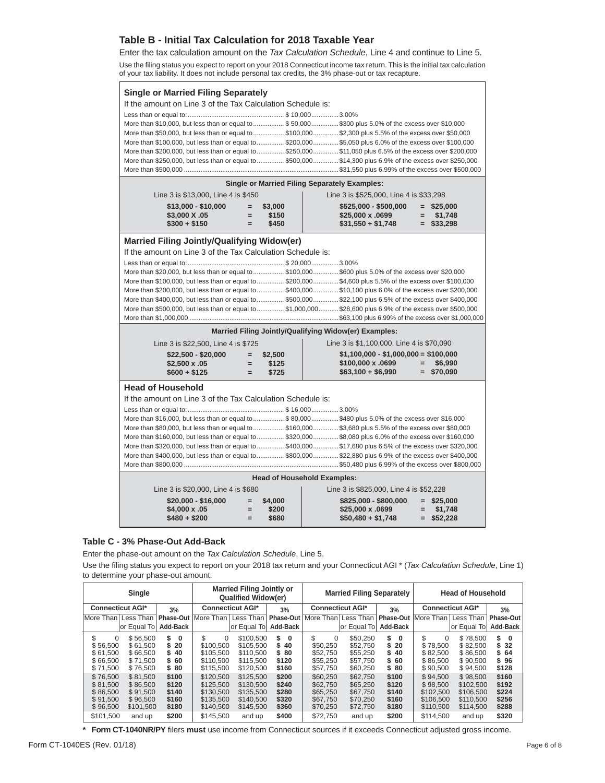## **Table B - Initial Tax Calculation for 2018 Taxable Year**

Enter the tax calculation amount on the *Tax Calculation Schedule*, Line 4 and continue to Line 5. Use the filing status you expect to report on your 2018 Connecticut income tax return. This is the initial tax calculation of your tax liability. It does not include personal tax credits, the 3% phase-out or tax recapture.

| <b>Single or Married Filing Separately</b>                                                                 |                                                                                                           |                                    |                                                                                                             |  |  |  |  |  |  |  |
|------------------------------------------------------------------------------------------------------------|-----------------------------------------------------------------------------------------------------------|------------------------------------|-------------------------------------------------------------------------------------------------------------|--|--|--|--|--|--|--|
|                                                                                                            |                                                                                                           |                                    |                                                                                                             |  |  |  |  |  |  |  |
| If the amount on Line 3 of the Tax Calculation Schedule is:                                                |                                                                                                           |                                    |                                                                                                             |  |  |  |  |  |  |  |
|                                                                                                            |                                                                                                           |                                    |                                                                                                             |  |  |  |  |  |  |  |
|                                                                                                            |                                                                                                           |                                    | More than \$10,000, but less than or equal to \$50,000\$300 plus 5.0% of the excess over \$10,000           |  |  |  |  |  |  |  |
|                                                                                                            |                                                                                                           |                                    | More than \$50,000, but less than or equal to  \$100,000 \$2,300 plus 5.5% of the excess over \$50,000      |  |  |  |  |  |  |  |
|                                                                                                            |                                                                                                           |                                    | More than \$100,000, but less than or equal to \$200,000 \$5,050 plus 6.0% of the excess over \$100,000     |  |  |  |  |  |  |  |
|                                                                                                            | More than \$200,000, but less than or equal to  \$250,000 \$11,050 plus 6.5% of the excess over \$200,000 |                                    |                                                                                                             |  |  |  |  |  |  |  |
| More than \$250,000, but less than or equal to  \$500,000  \$14,300 plus 6.9% of the excess over \$250,000 |                                                                                                           |                                    |                                                                                                             |  |  |  |  |  |  |  |
|                                                                                                            |                                                                                                           |                                    |                                                                                                             |  |  |  |  |  |  |  |
| <b>Single or Married Filing Separately Examples:</b>                                                       |                                                                                                           |                                    |                                                                                                             |  |  |  |  |  |  |  |
| Line 3 is \$13,000, Line 4 is \$450                                                                        |                                                                                                           |                                    | Line 3 is \$525,000, Line 4 is \$33,298                                                                     |  |  |  |  |  |  |  |
| \$13,000 - \$10,000                                                                                        | \$3,000<br>$=$                                                                                            |                                    | $$525,000 - $500,000 = $25,000$                                                                             |  |  |  |  |  |  |  |
| \$3,000 X .05                                                                                              | \$150<br>$=$                                                                                              |                                    | \$25,000 x .0699<br>\$31,550 + \$1,748<br>$=$ \$1,748                                                       |  |  |  |  |  |  |  |
| $$300 + $150$                                                                                              | \$450<br>$=$                                                                                              |                                    | $=$ \$33,298                                                                                                |  |  |  |  |  |  |  |
| Married Filing Jointly/Qualifying Widow(er)                                                                |                                                                                                           |                                    |                                                                                                             |  |  |  |  |  |  |  |
| If the amount on Line 3 of the Tax Calculation Schedule is:                                                |                                                                                                           |                                    |                                                                                                             |  |  |  |  |  |  |  |
|                                                                                                            |                                                                                                           |                                    |                                                                                                             |  |  |  |  |  |  |  |
|                                                                                                            |                                                                                                           |                                    | More than \$20,000, but less than or equal to  \$100,000\$600 plus 5.0% of the excess over \$20,000         |  |  |  |  |  |  |  |
|                                                                                                            |                                                                                                           |                                    | More than \$100,000, but less than or equal to \$200,000 \$4,600 plus 5.5% of the excess over \$100,000     |  |  |  |  |  |  |  |
|                                                                                                            |                                                                                                           |                                    | More than \$200,000, but less than or equal to  \$400,000  \$10,100 plus 6.0% of the excess over \$200,000  |  |  |  |  |  |  |  |
|                                                                                                            |                                                                                                           |                                    | More than \$400,000, but less than or equal to \$500,000\$22,100 plus 6.5% of the excess over \$400,000     |  |  |  |  |  |  |  |
|                                                                                                            |                                                                                                           |                                    | More than \$500,000, but less than or equal to  \$1,000,000 \$28,600 plus 6.9% of the excess over \$500,000 |  |  |  |  |  |  |  |
|                                                                                                            |                                                                                                           |                                    |                                                                                                             |  |  |  |  |  |  |  |
|                                                                                                            |                                                                                                           |                                    | Married Filing Jointly/Qualifying Widow(er) Examples:                                                       |  |  |  |  |  |  |  |
| Line 3 is \$22,500, Line 4 is \$725                                                                        |                                                                                                           |                                    | Line 3 is \$1,100,000, Line 4 is \$70,090                                                                   |  |  |  |  |  |  |  |
| \$22,500 - \$20,000                                                                                        | \$2,500<br>$=$                                                                                            |                                    | $$1,100,000 - $1,000,000 = $100,000$                                                                        |  |  |  |  |  |  |  |
| $$2,500 \times .05$                                                                                        | \$125<br>$=$                                                                                              |                                    | \$100,000 x .0699<br>\$6,990<br>$=$                                                                         |  |  |  |  |  |  |  |
| $$600 + $125$                                                                                              | \$725<br>$=$                                                                                              |                                    | $=$ \$70,090<br>$$63,100 + $6,990$                                                                          |  |  |  |  |  |  |  |
| <b>Head of Household</b>                                                                                   |                                                                                                           |                                    |                                                                                                             |  |  |  |  |  |  |  |
| If the amount on Line 3 of the Tax Calculation Schedule is:                                                |                                                                                                           |                                    |                                                                                                             |  |  |  |  |  |  |  |
|                                                                                                            |                                                                                                           |                                    |                                                                                                             |  |  |  |  |  |  |  |
|                                                                                                            |                                                                                                           |                                    | More than \$16,000, but less than or equal to  \$80,000\$480 plus 5.0% of the excess over \$16,000          |  |  |  |  |  |  |  |
|                                                                                                            | More than \$80,000, but less than or equal to  \$160,000 \$3,680 plus 5.5% of the excess over \$80,000    |                                    |                                                                                                             |  |  |  |  |  |  |  |
| More than \$160,000, but less than or equal to  \$320,000 \$8,080 plus 6.0% of the excess over \$160,000   |                                                                                                           |                                    |                                                                                                             |  |  |  |  |  |  |  |
|                                                                                                            |                                                                                                           |                                    |                                                                                                             |  |  |  |  |  |  |  |
|                                                                                                            |                                                                                                           |                                    | More than \$320,000, but less than or equal to  \$400,000  \$17,680 plus 6.5% of the excess over \$320,000  |  |  |  |  |  |  |  |
|                                                                                                            |                                                                                                           |                                    | More than \$400,000, but less than or equal to  \$800,000  \$22,880 plus 6.9% of the excess over \$400,000  |  |  |  |  |  |  |  |
|                                                                                                            |                                                                                                           |                                    |                                                                                                             |  |  |  |  |  |  |  |
|                                                                                                            |                                                                                                           | <b>Head of Household Examples:</b> |                                                                                                             |  |  |  |  |  |  |  |
| Line 3 is \$20,000, Line 4 is \$680                                                                        |                                                                                                           |                                    | Line 3 is \$825,000, Line 4 is \$52,228                                                                     |  |  |  |  |  |  |  |
| $$20,000 - $16,000$                                                                                        | \$4,000<br>$=$                                                                                            |                                    | $$825,000 - $800,000 = $25,000$                                                                             |  |  |  |  |  |  |  |
| \$4,000 x .05<br>$$480 + $200$                                                                             | \$200<br>$=$<br>\$680<br>$=$                                                                              |                                    | \$25,000 x .0699<br>$=$ \$1,748<br>$$50,480 + $1,748$<br>$=$ \$52,228                                       |  |  |  |  |  |  |  |

#### **Table C - 3% Phase-Out Add-Back**

Enter the phase-out amount on the *Tax Calculation Schedule*, Line 5.

Use the filing status you expect to report on your 2018 tax return and your Connecticut AGI \* (Tax Calculation Schedule, Line 1) to determine your phase-out amount.

|                                                                       | Single                                                              |                                                    |                                                                            | <b>Married Filing Jointly or</b><br><b>Qualified Widow(er)</b>          |                                                    |                                                                      |                                                                    | <b>Married Filing Separately</b><br><b>Head of Household</b> |                                                                          |                                                                        |                                                      |
|-----------------------------------------------------------------------|---------------------------------------------------------------------|----------------------------------------------------|----------------------------------------------------------------------------|-------------------------------------------------------------------------|----------------------------------------------------|----------------------------------------------------------------------|--------------------------------------------------------------------|--------------------------------------------------------------|--------------------------------------------------------------------------|------------------------------------------------------------------------|------------------------------------------------------|
| <b>Connecticut AGI*</b>                                               |                                                                     | 3%                                                 | <b>Connecticut AGI*</b>                                                    |                                                                         | 3%                                                 | <b>Connecticut AGI*</b>                                              |                                                                    | 3%                                                           | <b>Connecticut AGI*</b>                                                  |                                                                        | 3%                                                   |
| More Than Less Than                                                   |                                                                     | Phase-Out                                          | More Than                                                                  | Less Than                                                               | <b>Phase-Out</b>                                   | More Than   Less Than                                                |                                                                    | Phase-Out                                                    | More Than                                                                | Less Than                                                              | Phase-Out                                            |
|                                                                       | or Equal Tol                                                        | Add-Back                                           |                                                                            | or Equal To                                                             | Add-Back                                           |                                                                      | or Equal To                                                        | Add-Back                                                     |                                                                          | or Equal To                                                            | Add-Back                                             |
| \$<br>$\Omega$<br>\$56.500<br>\$61.500<br>\$66.500<br>\$71,500        | \$56,500<br>\$61.500<br>\$66,500<br>\$71.500<br>\$76,500            | 0<br>20<br>40<br>-60<br>\$80                       | \$<br>$\Omega$<br>\$100.500<br>\$105.500<br>\$110.500<br>\$115,500         | \$100.500<br>\$105.500<br>\$110.500<br>\$115.500<br>\$120,500           | \$<br>0<br>40<br>S.<br>\$80<br>\$120<br>\$160      | \$.<br>$\Omega$<br>\$50,250<br>\$52.750<br>\$55.250<br>\$57,750      | \$50.250<br>\$52.750<br>\$55,250<br>\$57,750<br>\$60,250           | \$<br>0<br>20<br>S<br>40<br>S<br>\$ 60<br>\$80               | \$<br>$\Omega$<br>\$78.500<br>\$82,500<br>\$86.500<br>\$90,500           | \$78,500<br>\$82.500<br>\$86,500<br>\$90.500<br>\$94,500               | S.<br>$\bf{0}$<br>-32<br>S.<br>\$64<br>\$96<br>\$128 |
| \$76,500<br>\$81.500<br>\$86,500<br>\$91.500<br>\$96,500<br>\$101.500 | \$81.500<br>\$86,500<br>\$91.500<br>\$96.500<br>\$101,500<br>and up | \$100<br>\$120<br>\$140<br>\$160<br>\$180<br>\$200 | \$120,500<br>\$125.500<br>\$130.500<br>\$135.500<br>\$140.500<br>\$145.500 | \$125,500<br>\$130,500<br>\$135,500<br>\$140,500<br>\$145,500<br>and up | \$200<br>\$240<br>\$280<br>\$320<br>\$360<br>\$400 | \$60,250<br>\$62,750<br>\$65,250<br>\$67,750<br>\$70,250<br>\$72.750 | \$62,750<br>\$65,250<br>\$67,750<br>\$70.250<br>\$72,750<br>and up | \$100<br>\$120<br>\$140<br>\$160<br>\$180<br>\$200           | \$94.500<br>\$98.500<br>\$102.500<br>\$106.500<br>\$110,500<br>\$114.500 | \$98,500<br>\$102.500<br>\$106.500<br>\$110.500<br>\$114,500<br>and up | \$160<br>\$192<br>\$224<br>\$256<br>\$288<br>\$320   |

\* Form CT-1040NR/PY filers must use income from Connecticut sources if it exceeds Connecticut adjusted gross income.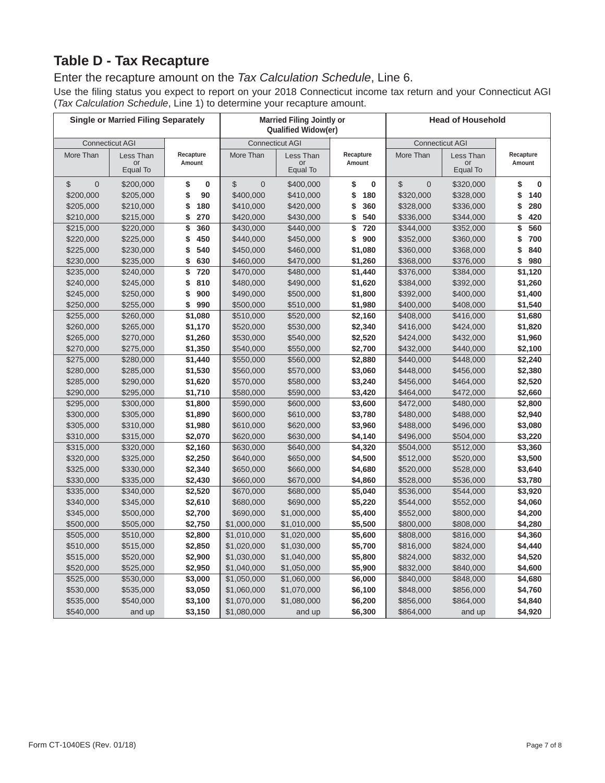# **Table D - Tax Recapture**

# Enter the recapture amount on the *Tax Calculation Schedule*, Line 6.

Use the filing status you expect to report on your 2018 Connecticut income tax return and your Connecticut AGI (*Tax Calculation Schedule*, Line 1) to determine your recapture amount.

|                               | <b>Single or Married Filing Separately</b> |                     |                               | <b>Married Filing Jointly or</b><br><b>Qualified Widow(er)</b> |                    | <b>Head of Household</b> |                             |                     |  |
|-------------------------------|--------------------------------------------|---------------------|-------------------------------|----------------------------------------------------------------|--------------------|--------------------------|-----------------------------|---------------------|--|
|                               | <b>Connecticut AGI</b>                     |                     |                               | <b>Connecticut AGI</b>                                         |                    | <b>Connecticut AGI</b>   |                             |                     |  |
| More Than                     | Less Than<br>or<br>Equal To                | Recapture<br>Amount | More Than                     | Less Than<br>or<br>Equal To                                    |                    | More Than                | Less Than<br>or<br>Equal To | Recapture<br>Amount |  |
| $\mathbf 0$<br>$\mathfrak{S}$ | \$200,000                                  | \$<br>$\bf{0}$      | $\mathfrak{S}$<br>$\mathbf 0$ | \$400,000                                                      | \$<br>$\bf{0}$     | \$<br>$\overline{0}$     | \$320,000                   | \$<br>0             |  |
| \$200,000                     | \$205,000                                  | \$<br>90            | \$400,000                     | \$410,000                                                      | \$<br>180          | \$320,000                | \$328,000                   | \$<br>140           |  |
| \$205,000                     | \$210,000                                  | \$<br>180           | \$410,000                     | \$420,000                                                      | \$<br>360          | \$328,000                | \$336,000                   | \$<br>280           |  |
| \$210,000                     | \$215,000                                  | \$<br>270           | \$420,000                     | \$430,000                                                      | \$<br>540          | \$336,000                | \$344,000                   | \$<br>420           |  |
| \$215,000                     | \$220,000                                  | \$<br>360           | \$430,000                     | \$440,000                                                      | \$<br>720          | \$344,000                | \$352,000                   | \$<br>560           |  |
| \$220,000                     | \$225,000                                  | 450<br>\$           | \$440,000                     | \$450,000                                                      | 900<br>\$          | \$352,000                | \$360,000                   | 700<br>\$           |  |
| \$225,000                     | \$230,000                                  | \$<br>540           | \$450,000                     | \$460,000                                                      | \$1,080            | \$360,000                | \$368,000                   | \$<br>840           |  |
| \$230,000                     | \$235,000                                  | 630<br>\$           | \$460,000                     | \$470,000                                                      | \$1,260            | \$368,000                | \$376,000                   | \$<br>980           |  |
| \$235,000                     | \$240,000                                  | \$<br>720           | \$470,000                     | \$480,000                                                      | \$1,440            | \$376,000                | \$384,000                   | \$1,120             |  |
| \$240,000                     | \$245,000                                  | \$<br>810           | \$480,000                     | \$490,000                                                      | \$1,620            | \$384,000                | \$392,000                   | \$1,260             |  |
| \$245,000                     | \$250,000                                  | \$<br>900           | \$490,000                     | \$500,000                                                      | \$1,800            | \$392,000                | \$400,000                   | \$1,400             |  |
| \$250,000                     | \$255,000                                  | \$<br>990           | \$500,000                     | \$510,000                                                      | \$1,980            | \$400,000                | \$408,000                   | \$1,540             |  |
| \$255,000                     | \$260,000                                  | \$1,080             | \$510,000                     | \$520,000                                                      | \$2,160            | \$408,000                | \$416,000                   | \$1,680             |  |
| \$260,000                     | \$265,000                                  | \$1,170             | \$520,000                     | \$530,000                                                      | \$2,340            | \$416,000                | \$424,000                   | \$1,820             |  |
| \$265,000                     | \$270,000                                  | \$1,260             | \$530,000                     | \$540,000                                                      | \$2,520            | \$424,000                | \$432,000                   | \$1,960             |  |
| \$270,000                     | \$275,000                                  | \$1,350             | \$540,000                     | \$550,000                                                      | \$2,700            | \$432,000                | \$440,000                   | \$2,100             |  |
| \$275,000                     | \$280,000                                  | \$1,440             | \$550,000                     | \$560,000                                                      | \$2,880            | \$440,000                | \$448,000                   | \$2,240             |  |
| \$280,000                     | \$285,000                                  | \$1,530             | \$560,000                     | \$570,000                                                      | \$3,060            | \$448,000                | \$456,000                   | \$2,380             |  |
| \$285,000                     | \$290,000                                  | \$1,620             | \$570,000                     | \$580,000                                                      | \$3,240            | \$456,000                | \$464,000                   | \$2,520             |  |
| \$290,000                     | \$295,000                                  | \$1,710             | \$580,000                     | \$590,000                                                      | \$3,420            | \$464,000                | \$472,000                   | \$2,660             |  |
| \$295,000                     | \$300,000                                  | \$1,800             | \$590,000                     | \$600,000                                                      | \$3,600            | \$472,000                | \$480,000                   | \$2,800             |  |
| \$300,000                     | \$305,000                                  | \$1,890             | \$600,000                     | \$610,000                                                      | \$3,780            | \$480,000                | \$488,000                   | \$2,940             |  |
| \$305,000                     | \$310,000                                  | \$1,980             | \$610,000                     | \$620,000                                                      | \$3,960            | \$488,000                | \$496,000                   | \$3,080             |  |
| \$310,000                     | \$315,000                                  | \$2,070             | \$620,000                     | \$630,000                                                      | \$4,140            | \$496,000                | \$504,000                   | \$3,220             |  |
| \$315,000                     | \$320,000                                  | \$2,160             | \$630,000                     | \$640,000                                                      | \$4,320            | \$504,000                | \$512,000                   | \$3,360             |  |
| \$320,000                     | \$325,000                                  | \$2,250             | \$640,000                     | \$650,000                                                      | \$4,500            | \$512,000                | \$520,000                   | \$3,500             |  |
| \$325,000                     | \$330,000                                  | \$2,340             | \$650,000                     | \$660,000                                                      | \$4,680            | \$520,000                | \$528,000                   | \$3,640             |  |
| \$330,000                     | \$335,000                                  | \$2,430             | \$660,000                     | \$670,000                                                      | \$4,860            | \$528,000                | \$536,000                   | \$3,780             |  |
| \$335,000                     | \$340,000                                  | \$2,520             | \$670,000                     | \$680,000                                                      | \$5,040            | \$536,000                | \$544,000                   | \$3,920             |  |
| \$340,000                     | \$345,000                                  | \$2,610             | \$680,000                     | \$690,000                                                      | \$5,220            | \$544,000                | \$552,000                   | \$4,060             |  |
| \$345,000                     | \$500,000                                  | \$2,700             | \$690,000                     | \$1,000,000                                                    | \$5,400            | \$552,000                | \$800,000                   | \$4,200             |  |
| \$500,000                     | \$505,000                                  | \$2,750             | \$1,000,000                   | \$1,010,000                                                    | \$5,500            | \$800,000                | \$808,000                   | \$4,280             |  |
| \$505,000                     | \$510,000                                  | \$2,800             | \$1,010,000                   | \$1,020,000                                                    | \$5,600            | \$808,000                | \$816,000                   | \$4,360             |  |
| \$510,000                     | \$515,000                                  | \$2,850             | \$1,020,000                   | \$1,030,000                                                    | \$5,700            | \$816,000                | \$824,000                   | \$4,440             |  |
| \$515,000                     | \$520,000                                  | \$2,900             | \$1,030,000                   | \$1,040,000                                                    | \$5,800            | \$824,000                | \$832,000                   | \$4,520             |  |
| \$520,000                     | \$525,000                                  | \$2,950             | \$1,040,000                   | \$1,050,000<br>\$1,060,000                                     | \$5,900            | \$832,000                | \$840,000                   | \$4,600             |  |
| \$525,000<br>\$530,000        | \$530,000<br>\$535,000                     | \$3,000<br>\$3,050  | \$1,050,000<br>\$1,060,000    | \$1,070,000                                                    | \$6,000<br>\$6,100 | \$840,000<br>\$848,000   | \$848,000<br>\$856,000      | \$4,680<br>\$4,760  |  |
| \$535,000                     | \$540,000                                  | \$3,100             | \$1,070,000                   | \$1,080,000                                                    | \$6,200            | \$856,000                | \$864,000                   | \$4,840             |  |
| \$540,000                     | and up                                     | \$3,150             | \$1,080,000                   | and up                                                         | \$6,300            | \$864,000                | and up                      | \$4,920             |  |